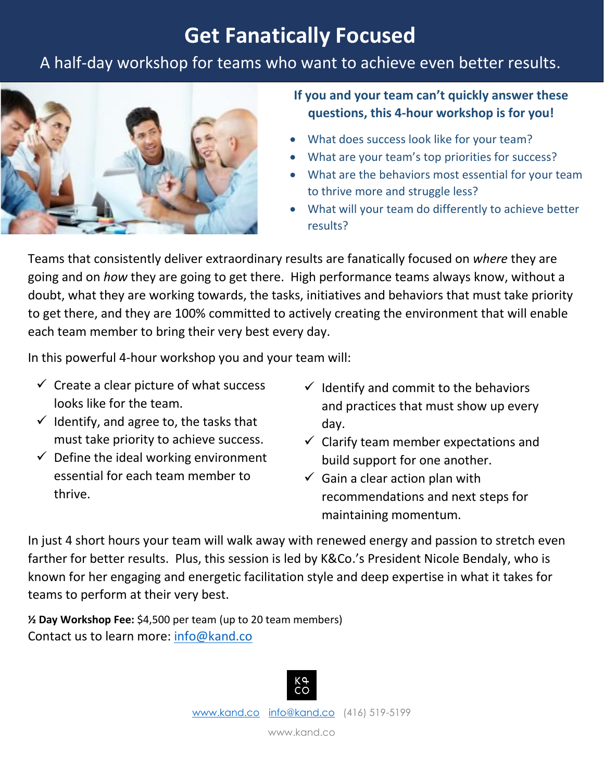## **Get Fanatically Focused**

### A half-day workshop for teams who want to achieve even better results.



### **If you and your team can't quickly answer these questions, this 4-hour workshop is for you!**

- What does success look like for your team?
- What are your team's top priorities for success?
- What are the behaviors most essential for your team to thrive more and struggle less?
- What will your team do differently to achieve better results?

Teams that consistently deliver extraordinary results are fanatically focused on *where* they are going and on *how* they are going to get there. High performance teams always know, without a doubt, what they are working towards, the tasks, initiatives and behaviors that must take priority to get there, and they are 100% committed to actively creating the environment that will enable each team member to bring their very best every day.

In this powerful 4-hour workshop you and your team will:

- $\checkmark$  Create a clear picture of what success looks like for the team.
- $\checkmark$  Identify, and agree to, the tasks that must take priority to achieve success.
- $\checkmark$  Define the ideal working environment essential for each team member to thrive.
- $\checkmark$  Identify and commit to the behaviors and practices that must show up every day.
- $\checkmark$  Clarify team member expectations and build support for one another.
- $\checkmark$  Gain a clear action plan with recommendations and next steps for maintaining momentum.

In just 4 short hours your team will walk away with renewed energy and passion to stretch even farther for better results. Plus, this session is led by K&Co.'s President Nicole Bendaly, who is known for her engaging and energetic facilitation style and deep expertise in what it takes for teams to perform at their very best.

**½ Day Workshop Fee:** \$4,500 per team (up to 20 team members) Contact us to learn more: [info@kand.co](mailto:info@kand.co)